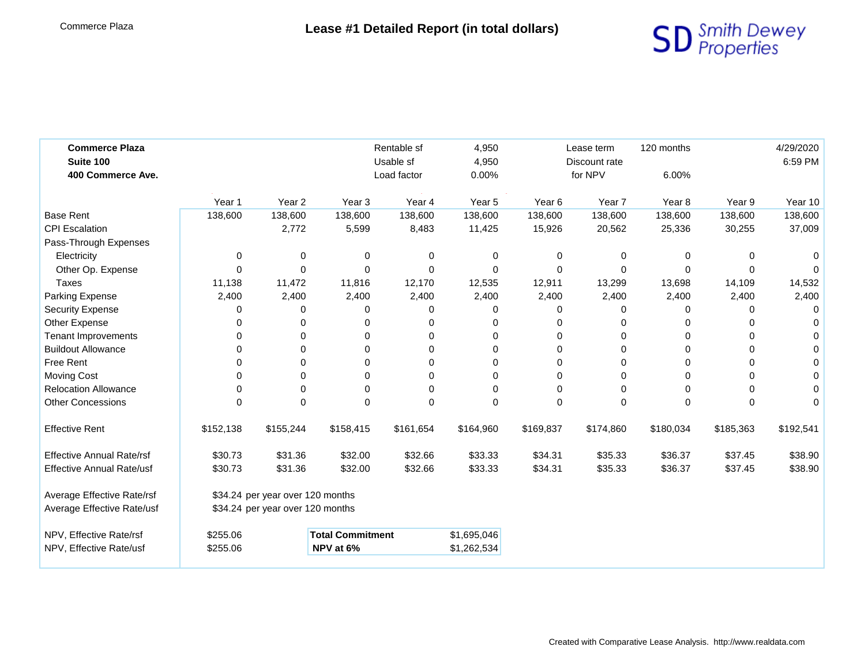

| <b>Commerce Plaza</b><br>Suite 100<br>400 Commerce Ave. |                                  |                                  |                         | Rentable sf<br>Usable sf<br>Load factor |             | 4,950<br>Lease term<br>4,950<br>Discount rate<br>for NPV<br>0.00% |           | 120 months<br>6.00% |           | 4/29/2020<br>6:59 PM |
|---------------------------------------------------------|----------------------------------|----------------------------------|-------------------------|-----------------------------------------|-------------|-------------------------------------------------------------------|-----------|---------------------|-----------|----------------------|
|                                                         | Year 1                           | Year <sub>2</sub>                | Year <sub>3</sub>       | Year 4                                  | Year 5      | Year <sub>6</sub>                                                 | Year 7    | Year <sub>8</sub>   | Year 9    | Year 10              |
| <b>Base Rent</b>                                        | 138,600                          | 138,600                          | 138,600                 | 138,600                                 | 138,600     | 138,600                                                           | 138,600   | 138,600             | 138,600   | 138,600              |
| <b>CPI Escalation</b>                                   |                                  | 2,772                            | 5,599                   | 8,483                                   | 11,425      | 15,926                                                            | 20,562    | 25,336              | 30,255    | 37,009               |
| Pass-Through Expenses                                   |                                  |                                  |                         |                                         |             |                                                                   |           |                     |           |                      |
| Electricity                                             | 0                                | 0                                | 0                       | 0                                       | 0           | 0                                                                 | 0         | $\Omega$            | 0         | 0                    |
| Other Op. Expense                                       | $\Omega$                         | $\Omega$                         | 0                       | $\Omega$                                | $\Omega$    | 0                                                                 | $\Omega$  | $\Omega$            | 0         | $\Omega$             |
| Taxes                                                   | 11,138                           | 11,472                           | 11,816                  | 12,170                                  | 12,535      | 12,911                                                            | 13,299    | 13,698              | 14,109    | 14,532               |
| Parking Expense                                         | 2,400                            | 2,400                            | 2,400                   | 2,400                                   | 2,400       | 2,400                                                             | 2,400     | 2,400               | 2,400     | 2,400                |
| <b>Security Expense</b>                                 | 0                                | 0                                | 0                       | 0                                       | 0           | 0                                                                 | $\Omega$  | 0                   | 0         | $\Omega$             |
| Other Expense                                           | $\Omega$                         | 0                                | 0                       | $\Omega$                                | 0           | 0                                                                 | $\Omega$  | $\Omega$            | 0         | 0                    |
| <b>Tenant Improvements</b>                              | 0                                | 0                                | 0                       | $\Omega$                                | $\Omega$    | 0                                                                 | 0         | 0                   | 0         | $\Omega$             |
| <b>Buildout Allowance</b>                               | 0                                | $\Omega$                         | 0                       | $\Omega$                                | 0           | ი                                                                 | $\Omega$  | $\Omega$            | $\Omega$  | $\Omega$             |
| Free Rent                                               | 0                                | $\Omega$                         | 0                       | $\Omega$                                | 0           | 0                                                                 | $\Omega$  | 0                   | 0         | 0                    |
| <b>Moving Cost</b>                                      | 0                                | 0                                | 0                       | $\Omega$                                | $\Omega$    | 0                                                                 | 0         | $\Omega$            | 0         | 0                    |
| <b>Relocation Allowance</b>                             | $\Omega$                         | $\Omega$                         | 0                       | $\Omega$                                | $\Omega$    | 0                                                                 | $\Omega$  | $\Omega$            | 0         | $\Omega$             |
| <b>Other Concessions</b>                                | $\Omega$                         | $\Omega$                         | $\Omega$                | $\Omega$                                | $\Omega$    | $\Omega$                                                          | $\Omega$  | $\Omega$            | 0         | $\Omega$             |
| <b>Effective Rent</b>                                   | \$152,138                        | \$155,244                        | \$158,415               | \$161,654                               | \$164,960   | \$169,837                                                         | \$174,860 | \$180,034           | \$185,363 | \$192,541            |
| <b>Effective Annual Rate/rsf</b>                        | \$30.73                          | \$31.36                          | \$32.00                 | \$32.66                                 | \$33.33     | \$34.31                                                           | \$35.33   | \$36.37             | \$37.45   | \$38.90              |
| <b>Effective Annual Rate/usf</b>                        | \$30.73                          | \$31.36                          | \$32.00                 | \$32.66                                 | \$33.33     | \$34.31                                                           | \$35.33   | \$36.37             | \$37.45   | \$38.90              |
| Average Effective Rate/rsf                              |                                  | \$34.24 per year over 120 months |                         |                                         |             |                                                                   |           |                     |           |                      |
| Average Effective Rate/usf                              | \$34.24 per year over 120 months |                                  |                         |                                         |             |                                                                   |           |                     |           |                      |
| NPV, Effective Rate/rsf                                 | \$255.06                         |                                  | <b>Total Commitment</b> |                                         | \$1,695,046 |                                                                   |           |                     |           |                      |
| NPV, Effective Rate/usf                                 | \$255.06                         |                                  | NPV at 6%               |                                         | \$1,262,534 |                                                                   |           |                     |           |                      |